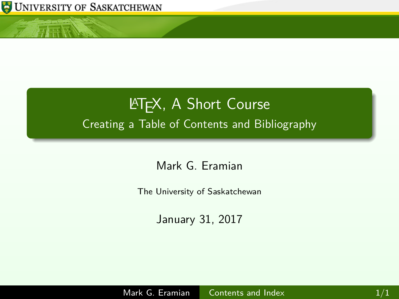

<span id="page-0-0"></span>仁正辰

# **LATEX, A Short Course** Creating a Table of Contents and Bibliography

Mark G. Eramian

The University of Saskatchewan

January 31, 2017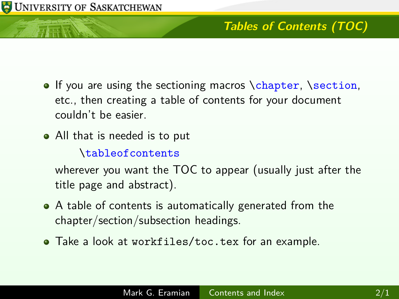## **Tables of Contents (TOC)**

- $\bullet$  If you are using the sectioning macros \chapter, \section, etc., then creating a table of contents for your document couldn't be easier.
- All that is needed is to put

\tableofcontents

wherever you want the TOC to appear (usually just after the title page and abstract).

- A table of contents is automatically generated from the chapter/section/subsection headings.
- Take a look at workfiles/toc.tex for an example.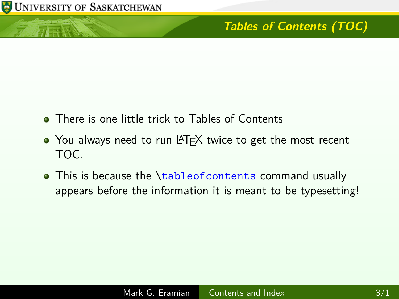- **•** There is one little trick to Tables of Contents
- You always need to run LATEX twice to get the most recent TOC.
- This is because the \tableofcontents command usually appears before the information it is meant to be typesetting!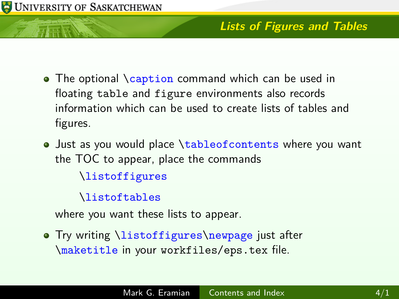

#### **Lists of Figures and Tables**

- The optional \caption command which can be used in floating table and figure environments also records information which can be used to create lists of tables and figures.
- Just as you would place \tableofcontents where you want the TOC to appear, place the commands \listoffigures

\listoftables

where you want these lists to appear.

• Try writing \listoffigures\newpage just after \maketitle in your workfiles/eps.tex file.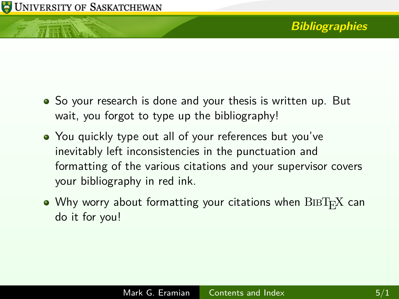- So your research is done and your thesis is written up. But wait, you forgot to type up the bibliography!
- You quickly type out all of your references but you've inevitably left inconsistencies in the punctuation and formatting of the various citations and your supervisor covers your bibliography in red ink.
- Why worry about formatting your citations when  $\text{BisT}_{F}X$  can do it for you!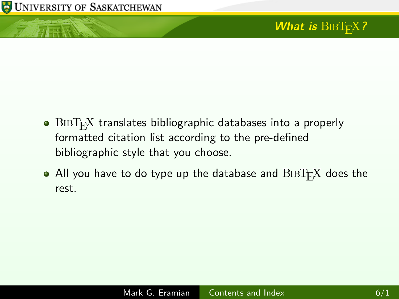

有耳豆

- $\bullet$  BIBT<sub>E</sub>X translates bibliographic databases into a properly formatted citation list according to the pre-defined bibliographic style that you choose.
- All you have to do type up the database and  $\text{BiBT}_{\text{F}}X$  does the rest.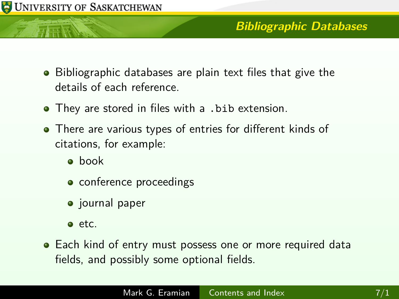

- Bibliographic databases are plain text files that give the details of each reference.
- They are stored in files with a .bib extension.
- There are various types of entries for different kinds of citations, for example:
	- **a** book
	- conference proceedings
	- journal paper
	- $e$  etc.
- Each kind of entry must possess one or more required data fields, and possibly some optional fields.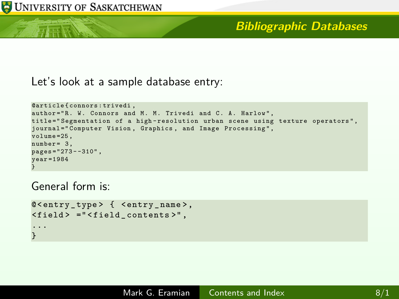在底层

#### **Bibliographic Databases**

Let's look at a sample database entry:

```
@article { connors : trivedi ,
author="R. W. Connors and M. M. Trivedi and C. A. Harlow",
title=" Segmentation of a high-resolution urban scene using texture operators",
journal=" Computer Vision, Graphics, and Image Processing",
volume = 25,
number = 3.
p_{\text{B}}ges = "273 - -310".
year = 1984}
```
General form is:

```
@ < entry _ type > { < entry _ name >,
< field > =" < field _ contents >" ,
...
}
```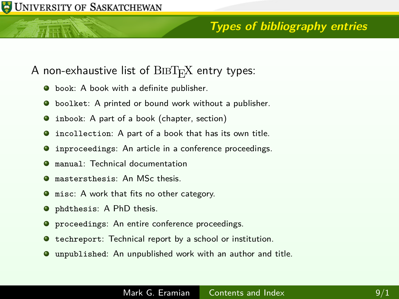## **Types of bibliography entries**

- A non-exhaustive list of  $BIBT<sub>E</sub>X$  entry types:
	- **•** book: A book with a definite publisher.
	- **•** boolket: A printed or bound work without a publisher.
	- inbook: A part of a book (chapter, section) 0
	- incollection: A part of a book that has its own title.
	- **O** inproceedings: An article in a conference proceedings.
	- manual: Technical documentation 0
	- mastersthesis: An MSc thesis.  $\bullet$
	- misc: A work that fits no other category. 0
	- phdthesis: A PhD thesis.
	- **O** proceedings: An entire conference proceedings.
	- $\bullet$  techreport: Technical report by a school or institution.
	- unpublished: An unpublished work with an author and title.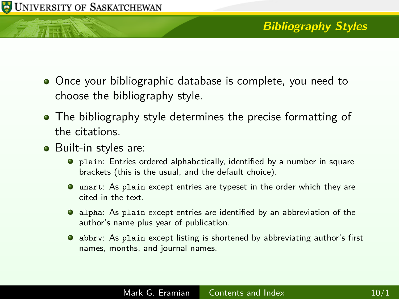

- Once your bibliographic database is complete, you need to choose the bibliography style.
- The bibliography style determines the precise formatting of the citations.
- Built-in styles are:
	- plain: Entries ordered alphabetically, identified by a number in square brackets (this is the usual, and the default choice).
	- unsrt: As plain except entries are typeset in the order which they are cited in the text.
	- alpha: As plain except entries are identified by an abbreviation of the author's name plus year of publication.
	- abbrv: As plain except listing is shortened by abbreviating author's first names, months, and journal names.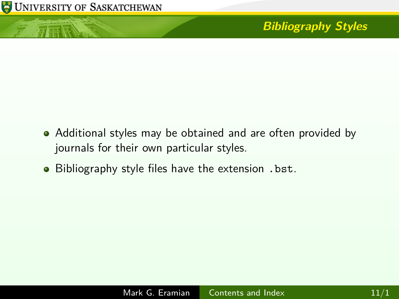

小豆腐

# **Bibliography Styles**

- Additional styles may be obtained and are often provided by journals for their own particular styles.
- Bibliography style files have the extension . bst.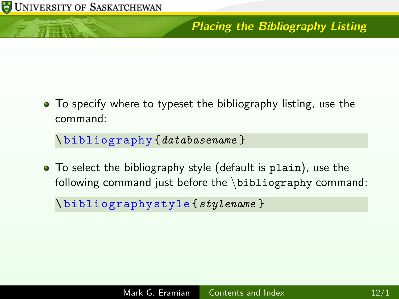# **Placing the Bibliography Listing**

• To specify where to typeset the bibliography listing, use the command:

\ bibliography {*databasename* }

To select the bibliography style (default is plain), use the following command just before the \bibliography command:

\ bibliographystyle {*stylename* }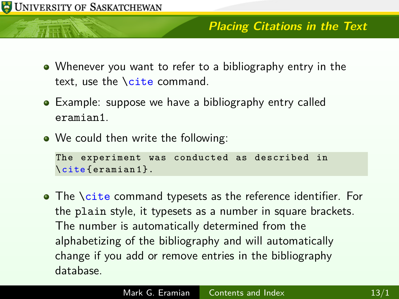

#### **Placing Citations in the Text**

- Whenever you want to refer to a bibliography entry in the text, use the \cite command.
- Example: suppose we have a bibliography entry called eramian1.
- We could then write the following:

```
The experiment was conducted as described in
\cite { eramian 1 }.
```
• The **\cite command typesets as the reference identifier**. For the plain style, it typesets as a number in square brackets. The number is automatically determined from the alphabetizing of the bibliography and will automatically change if you add or remove entries in the bibliography database.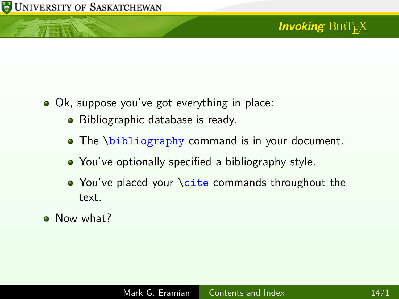ਜਦ ਵਿੱ

# **Invoking** BIBT<sub>E</sub>X

- Ok, suppose you've got everything in place:
	- Bibliographic database is ready.
	- The \bibliography command is in your document.
	- You've optionally specified a bibliography style.
	- You've placed your \cite commands throughout the text.
- Now what?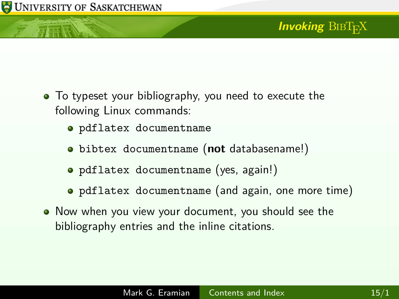- To typeset your bibliography, you need to execute the following Linux commands:
	- pdflatex documentname
	- bibtex documentname (**not** databasename!)
	- pdflatex documentname (yes, again!)
	- pdflatex documentname (and again, one more time)
- Now when you view your document, you should see the bibliography entries and the inline citations.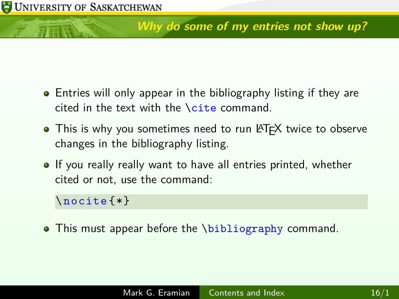## **Why do some of my entries not show up?**

- **•** Entries will only appear in the bibliography listing if they are cited in the text with the \cite command.
- This is why you sometimes need to run LATFX twice to observe changes in the bibliography listing.
- **If** you really really want to have all entries printed, whether cited or not, use the command:

\ nocite {\*}

• This must appear before the \bibliography command.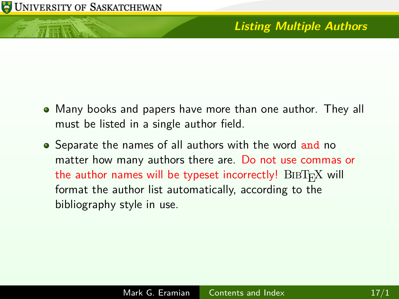市下版

## **Listing Multiple Authors**

- Many books and papers have more than one author. They all must be listed in a single author field.
- Separate the names of all authors with the word and no matter how many authors there are. Do not use commas or the author names will be typeset incorrectly!  $\text{BIBT}_{F}X$  will format the author list automatically, according to the bibliography style in use.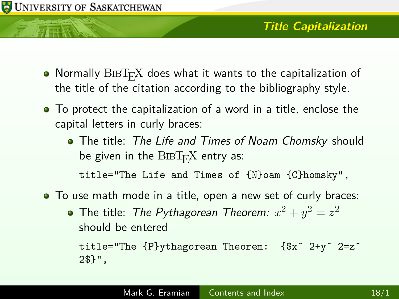- $\bullet$  Normally  $\text{BIBT}_{F}X$  does what it wants to the capitalization of the title of the citation according to the bibliography style.
- To protect the capitalization of a word in a title, enclose the capital letters in curly braces:
	- The title: The Life and Times of Noam Chomsky should be given in the  $\rm BIBT_FX$  entry as:

title="The Life and Times of {N}oam {C}homsky",

- To use math mode in a title, open a new set of curly braces:
	- The title: *The Pythagorean Theorem:*  $x^2 + y^2 = z^2$ should be entered

title="The {P}ythagorean Theorem: {\$xˆ 2+yˆ 2=zˆ 2\$}",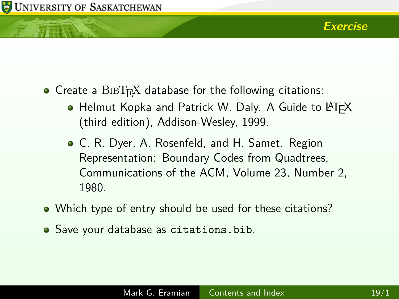- $\bullet$  Create a BIBT<sub>E</sub>X database for the following citations:
	- $\bullet$  Helmut Kopka and Patrick W. Daly. A Guide to LATFX (third edition), Addison-Wesley, 1999.
	- C. R. Dyer, A. Rosenfeld, and H. Samet. Region Representation: Boundary Codes from Quadtrees, Communications of the ACM, Volume 23, Number 2, 1980.
- Which type of entry should be used for these citations?
- Save your database as citations.bib.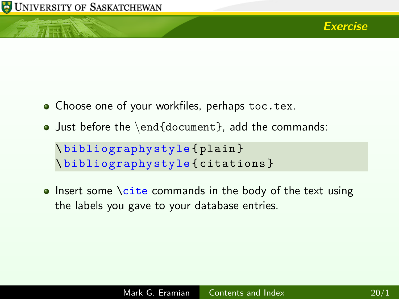

- Choose one of your workfiles, perhaps toc.tex.
- Just before the \end{document}, add the commands:

```
\ bibliographystyle { plain }
\ bibliographystyle { citations }
```
 $\bullet$  Insert some \cite commands in the body of the text using the labels you gave to your database entries.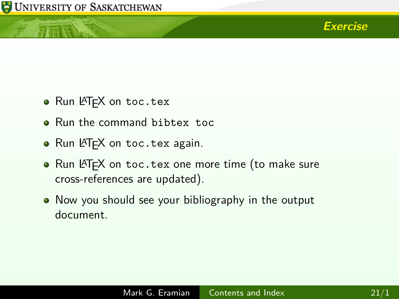ਜਦ ਵਿੱ



- Run LAT<sub>F</sub>X on toc.tex
- Run the command bibtex toc
- Run LATEX on toc.tex again.
- $\bullet$  Run LAT<sub>E</sub>X on toc.tex one more time (to make sure cross-references are updated).
- Now you should see your bibliography in the output document.